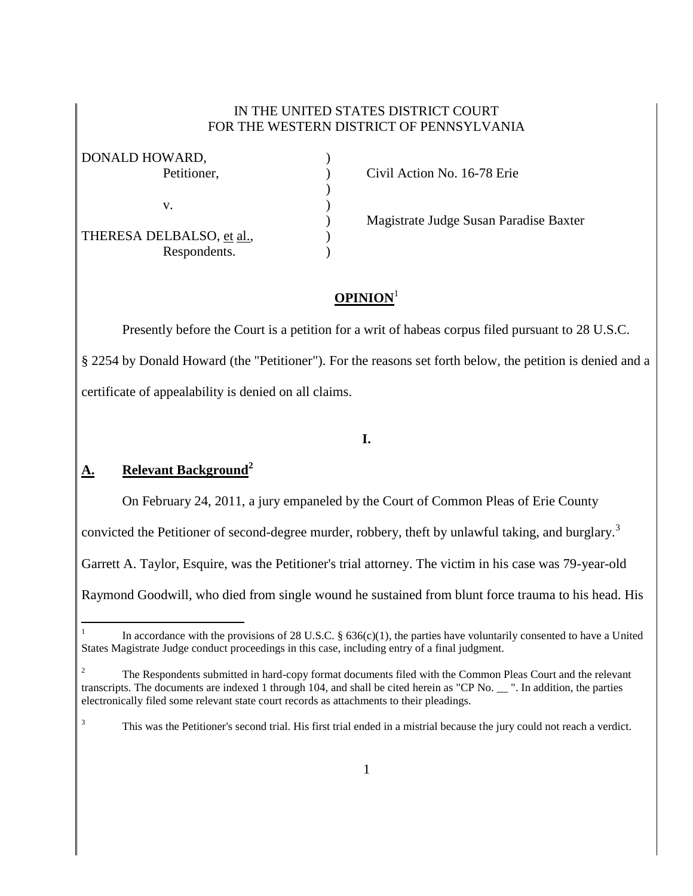#### IN THE UNITED STATES DISTRICT COURT FOR THE WESTERN DISTRICT OF PENNSYLVANIA

| DONALD HOWARD,            |  |
|---------------------------|--|
| Petitioner,               |  |
|                           |  |
| V.                        |  |
|                           |  |
| THERESA DELBALSO, et al., |  |
| Respondents.              |  |

) Civil Action No. 16-78 Erie

) Magistrate Judge Susan Paradise Baxter

## **OPINION**<sup>1</sup>

Presently before the Court is a petition for a writ of habeas corpus filed pursuant to 28 U.S.C. § 2254 by Donald Howard (the "Petitioner"). For the reasons set forth below, the petition is denied and a certificate of appealability is denied on all claims.

## **I.**

# **A. Relevant Background<sup>2</sup>**

On February 24, 2011, a jury empaneled by the Court of Common Pleas of Erie County

convicted the Petitioner of second-degree murder, robbery, theft by unlawful taking, and burglary.<sup>3</sup>

Garrett A. Taylor, Esquire, was the Petitioner's trial attorney. The victim in his case was 79-year-old

Raymond Goodwill, who died from single wound he sustained from blunt force trauma to his head. His

 $\overline{a}$ 1 In accordance with the provisions of 28 U.S.C. §  $636(c)(1)$ , the parties have voluntarily consented to have a United States Magistrate Judge conduct proceedings in this case, including entry of a final judgment.

<sup>2</sup> The Respondents submitted in hard-copy format documents filed with the Common Pleas Court and the relevant transcripts. The documents are indexed 1 through 104, and shall be cited herein as "CP No. \_\_ ". In addition, the parties electronically filed some relevant state court records as attachments to their pleadings.

<sup>&</sup>lt;sup>3</sup> This was the Petitioner's second trial. His first trial ended in a mistrial because the jury could not reach a verdict.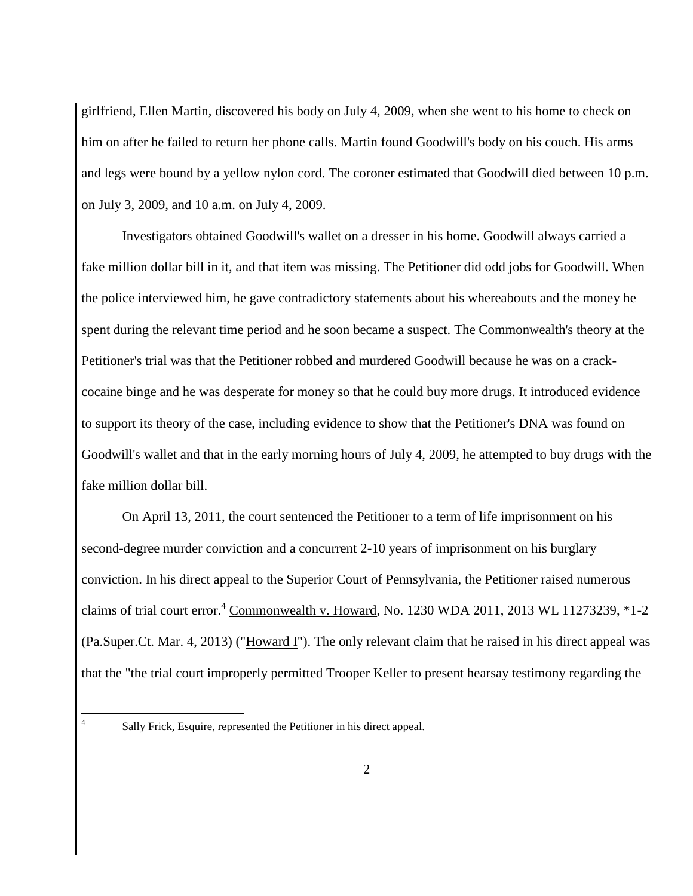girlfriend, Ellen Martin, discovered his body on July 4, 2009, when she went to his home to check on him on after he failed to return her phone calls. Martin found Goodwill's body on his couch. His arms and legs were bound by a yellow nylon cord. The coroner estimated that Goodwill died between 10 p.m. on July 3, 2009, and 10 a.m. on July 4, 2009.

Investigators obtained Goodwill's wallet on a dresser in his home. Goodwill always carried a fake million dollar bill in it, and that item was missing. The Petitioner did odd jobs for Goodwill. When the police interviewed him, he gave contradictory statements about his whereabouts and the money he spent during the relevant time period and he soon became a suspect. The Commonwealth's theory at the Petitioner's trial was that the Petitioner robbed and murdered Goodwill because he was on a crackcocaine binge and he was desperate for money so that he could buy more drugs. It introduced evidence to support its theory of the case, including evidence to show that the Petitioner's DNA was found on Goodwill's wallet and that in the early morning hours of July 4, 2009, he attempted to buy drugs with the fake million dollar bill.

On April 13, 2011, the court sentenced the Petitioner to a term of life imprisonment on his second-degree murder conviction and a concurrent 2-10 years of imprisonment on his burglary conviction. In his direct appeal to the Superior Court of Pennsylvania, the Petitioner raised numerous claims of trial court error.<sup>4</sup> Commonwealth v. Howard, No. 1230 WDA 2011, 2013 WL 11273239,  $*1-2$ (Pa.Super.Ct. Mar. 4, 2013) ("Howard I"). The only relevant claim that he raised in his direct appeal was that the "the trial court improperly permitted Trooper Keller to present hearsay testimony regarding the

 $\frac{1}{4}$ 

Sally Frick, Esquire, represented the Petitioner in his direct appeal.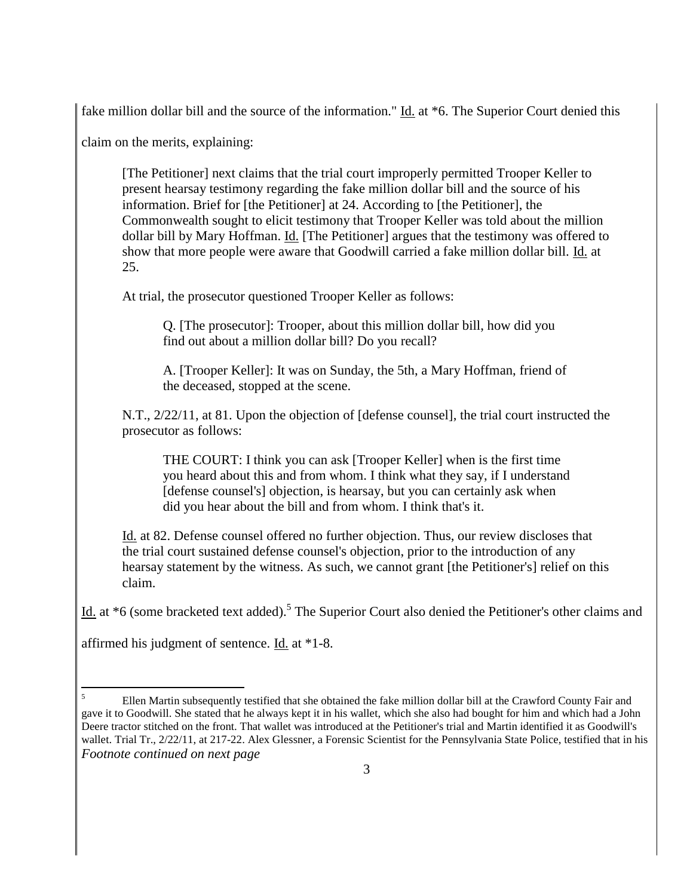fake million dollar bill and the source of the information." Id. at \*6. The Superior Court denied this

claim on the merits, explaining:

[The Petitioner] next claims that the trial court improperly permitted Trooper Keller to present hearsay testimony regarding the fake million dollar bill and the source of his information. Brief for [the Petitioner] at 24. According to [the Petitioner], the Commonwealth sought to elicit testimony that Trooper Keller was told about the million dollar bill by Mary Hoffman. Id. [The Petitioner] argues that the testimony was offered to show that more people were aware that Goodwill carried a fake million dollar bill. Id. at 25.

At trial, the prosecutor questioned Trooper Keller as follows:

Q. [The prosecutor]: Trooper, about this million dollar bill, how did you find out about a million dollar bill? Do you recall?

A. [Trooper Keller]: It was on Sunday, the 5th, a Mary Hoffman, friend of the deceased, stopped at the scene.

N.T., 2/22/11, at 81. Upon the objection of [defense counsel], the trial court instructed the prosecutor as follows:

THE COURT: I think you can ask [Trooper Keller] when is the first time you heard about this and from whom. I think what they say, if I understand [defense counsel's] objection, is hearsay, but you can certainly ask when did you hear about the bill and from whom. I think that's it.

Id. at 82. Defense counsel offered no further objection. Thus, our review discloses that the trial court sustained defense counsel's objection, prior to the introduction of any hearsay statement by the witness. As such, we cannot grant [the Petitioner's] relief on this claim.

Id. at \*6 (some bracketed text added).<sup>5</sup> The Superior Court also denied the Petitioner's other claims and

affirmed his judgment of sentence. Id. at \*1-8.

 $\overline{5}$ <sup>5</sup> Ellen Martin subsequently testified that she obtained the fake million dollar bill at the Crawford County Fair and gave it to Goodwill. She stated that he always kept it in his wallet, which she also had bought for him and which had a John Deere tractor stitched on the front. That wallet was introduced at the Petitioner's trial and Martin identified it as Goodwill's wallet. Trial Tr., 2/22/11, at 217-22. Alex Glessner, a Forensic Scientist for the Pennsylvania State Police, testified that in his *Footnote continued on next page*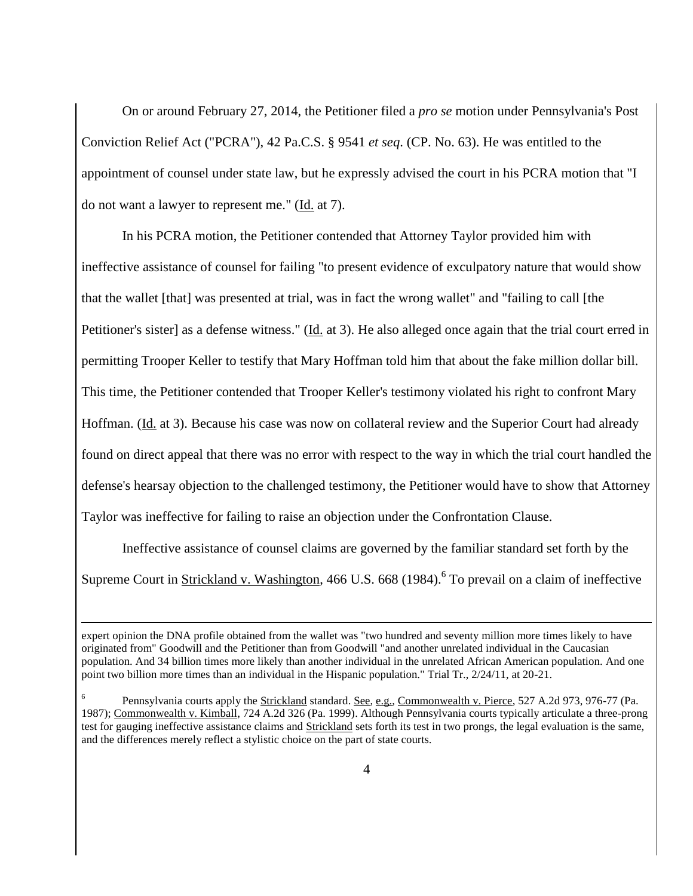On or around February 27, 2014, the Petitioner filed a *pro se* motion under Pennsylvania's Post Conviction Relief Act ("PCRA"), 42 Pa.C.S. § 9541 *et seq*. (CP. No. 63). He was entitled to the appointment of counsel under state law, but he expressly advised the court in his PCRA motion that "I do not want a lawyer to represent me." (Id. at 7).

In his PCRA motion, the Petitioner contended that Attorney Taylor provided him with ineffective assistance of counsel for failing "to present evidence of exculpatory nature that would show that the wallet [that] was presented at trial, was in fact the wrong wallet" and "failing to call [the Petitioner's sister] as a defense witness." (Id. at 3). He also alleged once again that the trial court erred in permitting Trooper Keller to testify that Mary Hoffman told him that about the fake million dollar bill. This time, the Petitioner contended that Trooper Keller's testimony violated his right to confront Mary Hoffman. (Id. at 3). Because his case was now on collateral review and the Superior Court had already found on direct appeal that there was no error with respect to the way in which the trial court handled the defense's hearsay objection to the challenged testimony, the Petitioner would have to show that Attorney Taylor was ineffective for failing to raise an objection under the Confrontation Clause.

Ineffective assistance of counsel claims are governed by the familiar standard set forth by the Supreme Court in Strickland v. Washington, 466 U.S. 668 (1984). <sup>6</sup> To prevail on a claim of ineffective

 $\overline{a}$ 

expert opinion the DNA profile obtained from the wallet was "two hundred and seventy million more times likely to have originated from" Goodwill and the Petitioner than from Goodwill "and another unrelated individual in the Caucasian population. And 34 billion times more likely than another individual in the unrelated African American population. And one point two billion more times than an individual in the Hispanic population." Trial Tr., 2/24/11, at 20-21.

<sup>6</sup> Pennsylvania courts apply the Strickland standard. See, e.g., Commonwealth v. Pierce, 527 A.2d 973, 976-77 (Pa. 1987); Commonwealth v. Kimball, 724 A.2d 326 (Pa. 1999). Although Pennsylvania courts typically articulate a three-prong test for gauging ineffective assistance claims and Strickland sets forth its test in two prongs, the legal evaluation is the same, and the differences merely reflect a stylistic choice on the part of state courts.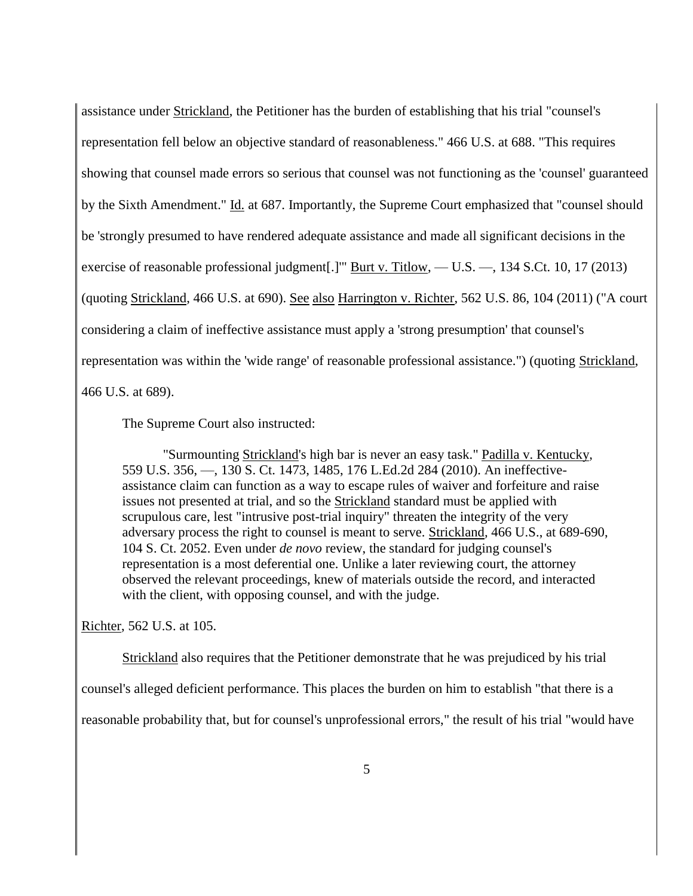assistance under Strickland, the Petitioner has the burden of establishing that his trial "counsel's representation fell below an objective standard of reasonableness." 466 U.S. at 688. "This requires showing that counsel made errors so serious that counsel was not functioning as the 'counsel' guaranteed by the Sixth Amendment." Id. at 687. Importantly, the Supreme Court emphasized that "counsel should be 'strongly presumed to have rendered adequate assistance and made all significant decisions in the exercise of reasonable professional judgment[.]" <u>Burt v. Titlow,</u> — U.S. —, 134 S.Ct. 10, 17 (2013) (quoting Strickland, 466 U.S. at 690). See also Harrington v. Richter, 562 U.S. 86, 104 (2011) ("A court considering a claim of ineffective assistance must apply a 'strong presumption' that counsel's representation was within the 'wide range' of reasonable professional assistance.") (quoting Strickland,

466 U.S. at 689).

The Supreme Court also instructed:

"Surmounting Strickland's high bar is never an easy task." Padilla v. Kentucky*,* 559 U.S. 356, —, 130 S. Ct. 1473, 1485, 176 L.Ed.2d 284 (2010). An ineffectiveassistance claim can function as a way to escape rules of waiver and forfeiture and raise issues not presented at trial, and so the Strickland standard must be applied with scrupulous care, lest "intrusive post-trial inquiry" threaten the integrity of the very adversary process the right to counsel is meant to serve. Strickland*,* 466 U.S., at 689-690, 104 S. Ct. 2052. Even under *de novo* review, the standard for judging counsel's representation is a most deferential one. Unlike a later reviewing court, the attorney observed the relevant proceedings, knew of materials outside the record, and interacted with the client, with opposing counsel, and with the judge.

Richter, 562 U.S. at 105.

Strickland also requires that the Petitioner demonstrate that he was prejudiced by his trial

counsel's alleged deficient performance. This places the burden on him to establish "that there is a

reasonable probability that, but for counsel's unprofessional errors," the result of his trial "would have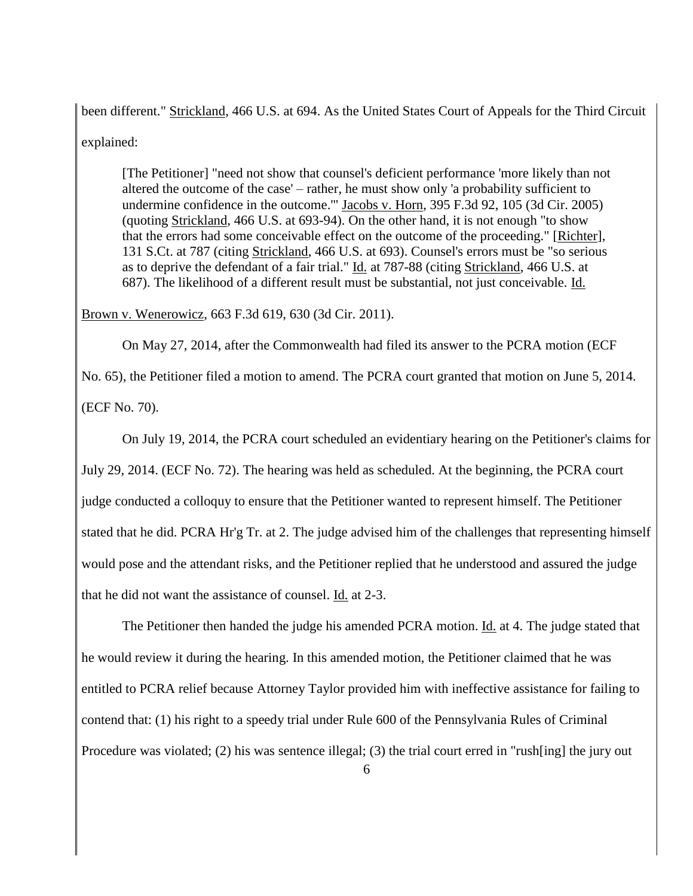been different." Strickland, 466 U.S. at 694. As the United States Court of Appeals for the Third Circuit explained:

[The Petitioner] "need not show that counsel's deficient performance 'more likely than not altered the outcome of the case' – rather, he must show only 'a probability sufficient to undermine confidence in the outcome.'" Jacobs v. Horn, 395 F.3d 92, 105 (3d Cir. 2005) (quoting Strickland, 466 U.S. at 693-94). On the other hand, it is not enough "to show that the errors had some conceivable effect on the outcome of the proceeding." [Richter], 131 S.Ct. at 787 (citing Strickland, 466 U.S. at 693). Counsel's errors must be "so serious as to deprive the defendant of a fair trial." Id. at 787-88 (citing Strickland, 466 U.S. at 687). The likelihood of a different result must be substantial, not just conceivable. Id.

Brown v. Wenerowicz, 663 F.3d 619, 630 (3d Cir. 2011).

On May 27, 2014, after the Commonwealth had filed its answer to the PCRA motion (ECF No. 65), the Petitioner filed a motion to amend. The PCRA court granted that motion on June 5, 2014. (ECF No. 70).

On July 19, 2014, the PCRA court scheduled an evidentiary hearing on the Petitioner's claims for July 29, 2014. (ECF No. 72). The hearing was held as scheduled. At the beginning, the PCRA court judge conducted a colloquy to ensure that the Petitioner wanted to represent himself. The Petitioner stated that he did. PCRA Hr'g Tr. at 2. The judge advised him of the challenges that representing himself would pose and the attendant risks, and the Petitioner replied that he understood and assured the judge that he did not want the assistance of counsel. Id. at 2-3.

The Petitioner then handed the judge his amended PCRA motion. Id. at 4. The judge stated that he would review it during the hearing. In this amended motion, the Petitioner claimed that he was entitled to PCRA relief because Attorney Taylor provided him with ineffective assistance for failing to contend that: (1) his right to a speedy trial under Rule 600 of the Pennsylvania Rules of Criminal Procedure was violated; (2) his was sentence illegal; (3) the trial court erred in "rush[ing] the jury out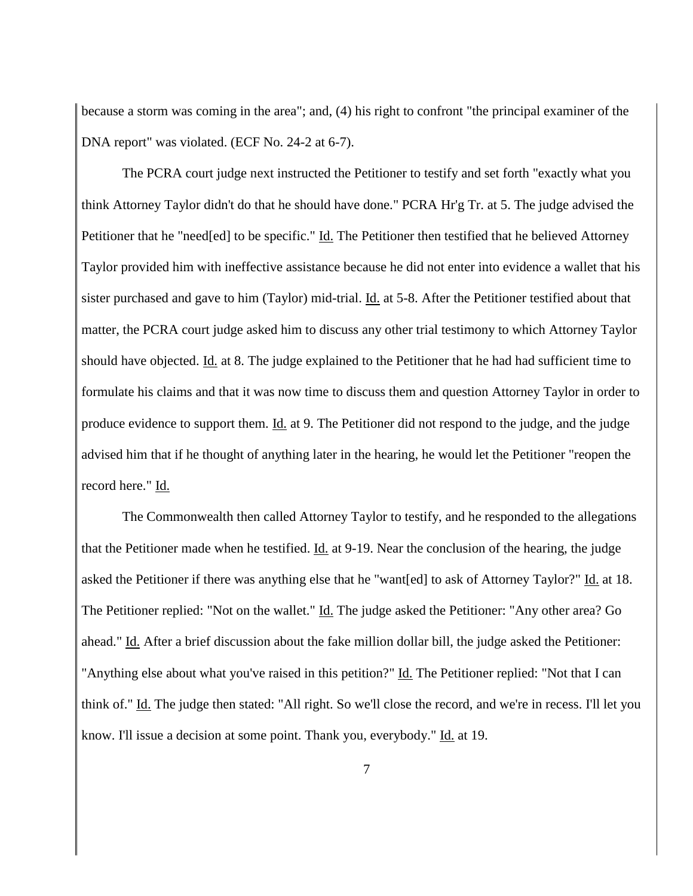because a storm was coming in the area"; and, (4) his right to confront "the principal examiner of the DNA report" was violated. (ECF No. 24-2 at 6-7).

The PCRA court judge next instructed the Petitioner to testify and set forth "exactly what you think Attorney Taylor didn't do that he should have done." PCRA Hr'g Tr. at 5. The judge advised the Petitioner that he "need[ed] to be specific." Id. The Petitioner then testified that he believed Attorney Taylor provided him with ineffective assistance because he did not enter into evidence a wallet that his sister purchased and gave to him (Taylor) mid-trial. Id. at 5-8. After the Petitioner testified about that matter, the PCRA court judge asked him to discuss any other trial testimony to which Attorney Taylor should have objected. Id. at 8. The judge explained to the Petitioner that he had had sufficient time to formulate his claims and that it was now time to discuss them and question Attorney Taylor in order to produce evidence to support them. Id. at 9. The Petitioner did not respond to the judge, and the judge advised him that if he thought of anything later in the hearing, he would let the Petitioner "reopen the record here." Id.

The Commonwealth then called Attorney Taylor to testify, and he responded to the allegations that the Petitioner made when he testified. Id. at 9-19. Near the conclusion of the hearing, the judge asked the Petitioner if there was anything else that he "want[ed] to ask of Attorney Taylor?" Id. at 18. The Petitioner replied: "Not on the wallet." Id. The judge asked the Petitioner: "Any other area? Go ahead." Id. After a brief discussion about the fake million dollar bill, the judge asked the Petitioner: "Anything else about what you've raised in this petition?" Id. The Petitioner replied: "Not that I can think of." Id. The judge then stated: "All right. So we'll close the record, and we're in recess. I'll let you know. I'll issue a decision at some point. Thank you, everybody." Id. at 19.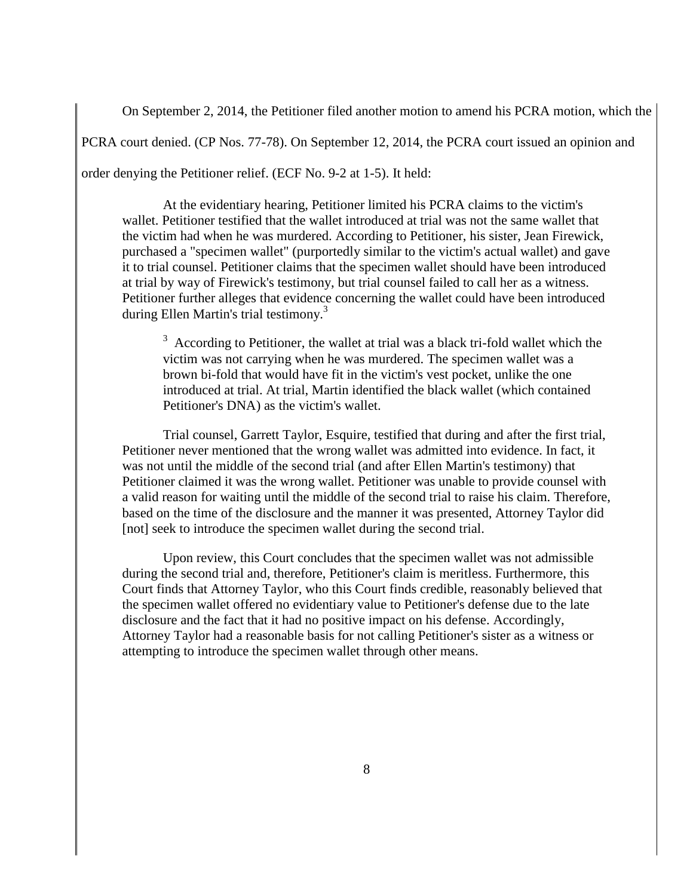On September 2, 2014, the Petitioner filed another motion to amend his PCRA motion, which the

PCRA court denied. (CP Nos. 77-78). On September 12, 2014, the PCRA court issued an opinion and

order denying the Petitioner relief. (ECF No. 9-2 at 1-5). It held:

At the evidentiary hearing, Petitioner limited his PCRA claims to the victim's wallet. Petitioner testified that the wallet introduced at trial was not the same wallet that the victim had when he was murdered. According to Petitioner, his sister, Jean Firewick, purchased a "specimen wallet" (purportedly similar to the victim's actual wallet) and gave it to trial counsel. Petitioner claims that the specimen wallet should have been introduced at trial by way of Firewick's testimony, but trial counsel failed to call her as a witness. Petitioner further alleges that evidence concerning the wallet could have been introduced during Ellen Martin's trial testimony.<sup>3</sup>

 $3$  According to Petitioner, the wallet at trial was a black tri-fold wallet which the victim was not carrying when he was murdered. The specimen wallet was a brown bi-fold that would have fit in the victim's vest pocket, unlike the one introduced at trial. At trial, Martin identified the black wallet (which contained Petitioner's DNA) as the victim's wallet.

Trial counsel, Garrett Taylor, Esquire, testified that during and after the first trial, Petitioner never mentioned that the wrong wallet was admitted into evidence. In fact, it was not until the middle of the second trial (and after Ellen Martin's testimony) that Petitioner claimed it was the wrong wallet. Petitioner was unable to provide counsel with a valid reason for waiting until the middle of the second trial to raise his claim. Therefore, based on the time of the disclosure and the manner it was presented, Attorney Taylor did [not] seek to introduce the specimen wallet during the second trial.

Upon review, this Court concludes that the specimen wallet was not admissible during the second trial and, therefore, Petitioner's claim is meritless. Furthermore, this Court finds that Attorney Taylor, who this Court finds credible, reasonably believed that the specimen wallet offered no evidentiary value to Petitioner's defense due to the late disclosure and the fact that it had no positive impact on his defense. Accordingly, Attorney Taylor had a reasonable basis for not calling Petitioner's sister as a witness or attempting to introduce the specimen wallet through other means.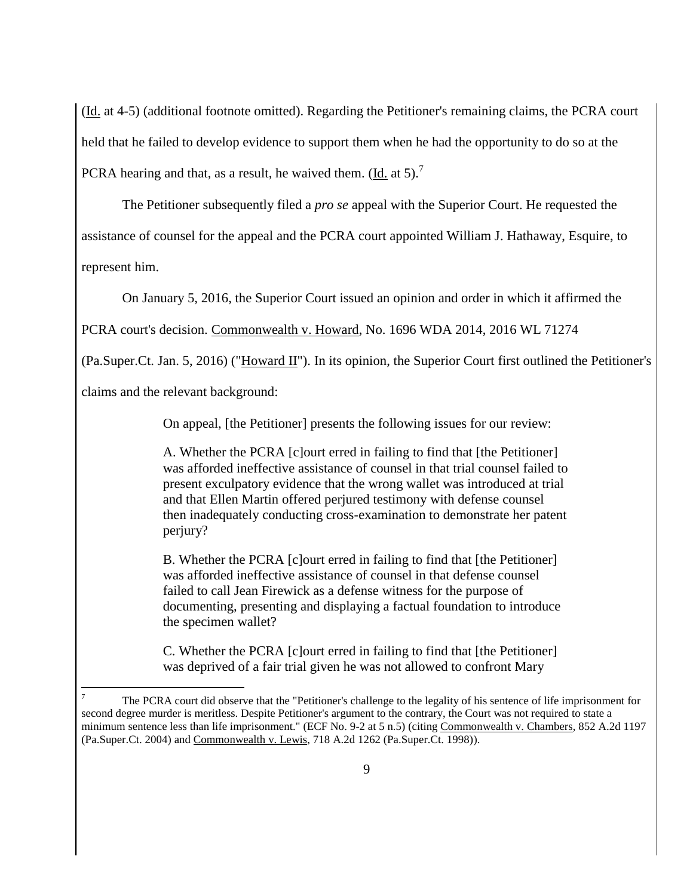(Id. at 4-5) (additional footnote omitted). Regarding the Petitioner's remaining claims, the PCRA court held that he failed to develop evidence to support them when he had the opportunity to do so at the PCRA hearing and that, as a result, he waived them. (Id. at 5).<sup>7</sup>

The Petitioner subsequently filed a *pro se* appeal with the Superior Court. He requested the assistance of counsel for the appeal and the PCRA court appointed William J. Hathaway, Esquire, to represent him.

On January 5, 2016, the Superior Court issued an opinion and order in which it affirmed the

PCRA court's decision. Commonwealth v. Howard, No. 1696 WDA 2014, 2016 WL 71274

(Pa.Super.Ct. Jan. 5, 2016) ("Howard II"). In its opinion, the Superior Court first outlined the Petitioner's

claims and the relevant background:

 $\overline{a}$ 

On appeal, [the Petitioner] presents the following issues for our review:

A. Whether the PCRA [c]ourt erred in failing to find that [the Petitioner] was afforded ineffective assistance of counsel in that trial counsel failed to present exculpatory evidence that the wrong wallet was introduced at trial and that Ellen Martin offered perjured testimony with defense counsel then inadequately conducting cross-examination to demonstrate her patent perjury?

B. Whether the PCRA [c]ourt erred in failing to find that [the Petitioner] was afforded ineffective assistance of counsel in that defense counsel failed to call Jean Firewick as a defense witness for the purpose of documenting, presenting and displaying a factual foundation to introduce the specimen wallet?

C. Whether the PCRA [c]ourt erred in failing to find that [the Petitioner] was deprived of a fair trial given he was not allowed to confront Mary

<sup>7</sup> The PCRA court did observe that the "Petitioner's challenge to the legality of his sentence of life imprisonment for second degree murder is meritless. Despite Petitioner's argument to the contrary, the Court was not required to state a minimum sentence less than life imprisonment." (ECF No. 9-2 at 5 n.5) (citing Commonwealth v. Chambers, 852 A.2d 1197 (Pa.Super.Ct. 2004) and Commonwealth v. Lewis, 718 A.2d 1262 (Pa.Super.Ct. 1998)).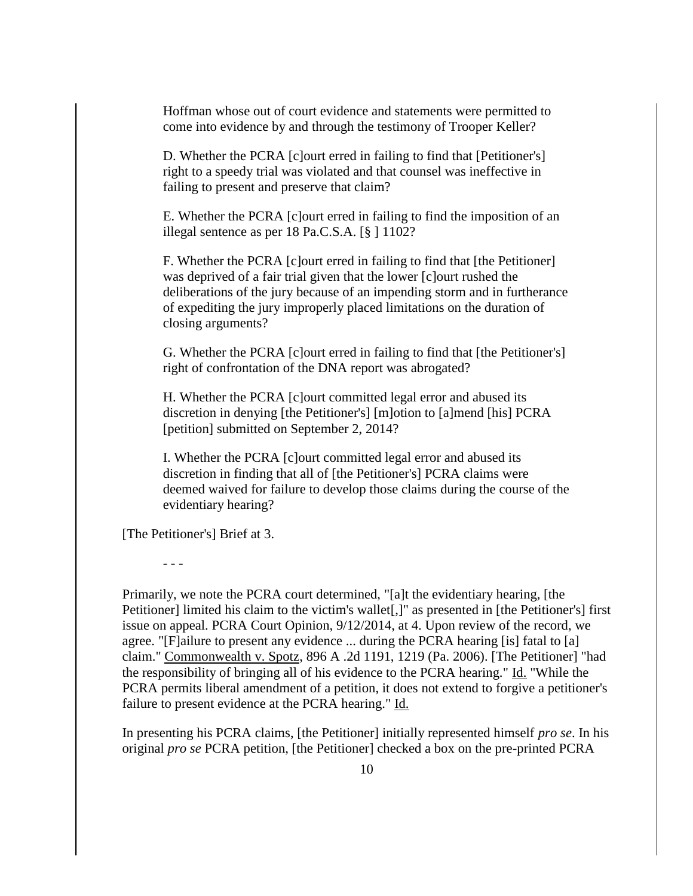Hoffman whose out of court evidence and statements were permitted to come into evidence by and through the testimony of Trooper Keller?

D. Whether the PCRA [c]ourt erred in failing to find that [Petitioner's] right to a speedy trial was violated and that counsel was ineffective in failing to present and preserve that claim?

E. Whether the PCRA [c]ourt erred in failing to find the imposition of an illegal sentence as per 18 Pa.C.S.A. [§ ] 1102?

F. Whether the PCRA [c]ourt erred in failing to find that [the Petitioner] was deprived of a fair trial given that the lower [c]ourt rushed the deliberations of the jury because of an impending storm and in furtherance of expediting the jury improperly placed limitations on the duration of closing arguments?

G. Whether the PCRA [c]ourt erred in failing to find that [the Petitioner's] right of confrontation of the DNA report was abrogated?

H. Whether the PCRA [c]ourt committed legal error and abused its discretion in denying [the Petitioner's] [m]otion to [a]mend [his] PCRA [petition] submitted on September 2, 2014?

I. Whether the PCRA [c]ourt committed legal error and abused its discretion in finding that all of [the Petitioner's] PCRA claims were deemed waived for failure to develop those claims during the course of the evidentiary hearing?

[The Petitioner's] Brief at 3.

 $- - -$ 

Primarily, we note the PCRA court determined, "[a]t the evidentiary hearing, [the Petitioner] limited his claim to the victim's wallet<sup>[1]</sup>, as presented in [the Petitioner's] first issue on appeal. PCRA Court Opinion, 9/12/2014, at 4. Upon review of the record, we agree. "[F]ailure to present any evidence ... during the PCRA hearing [is] fatal to [a] claim." Commonwealth v. Spotz, 896 A .2d 1191, 1219 (Pa. 2006). [The Petitioner] "had the responsibility of bringing all of his evidence to the PCRA hearing." Id. "While the PCRA permits liberal amendment of a petition, it does not extend to forgive a petitioner's failure to present evidence at the PCRA hearing." Id.

In presenting his PCRA claims, [the Petitioner] initially represented himself *pro se*. In his original *pro se* PCRA petition, [the Petitioner] checked a box on the pre-printed PCRA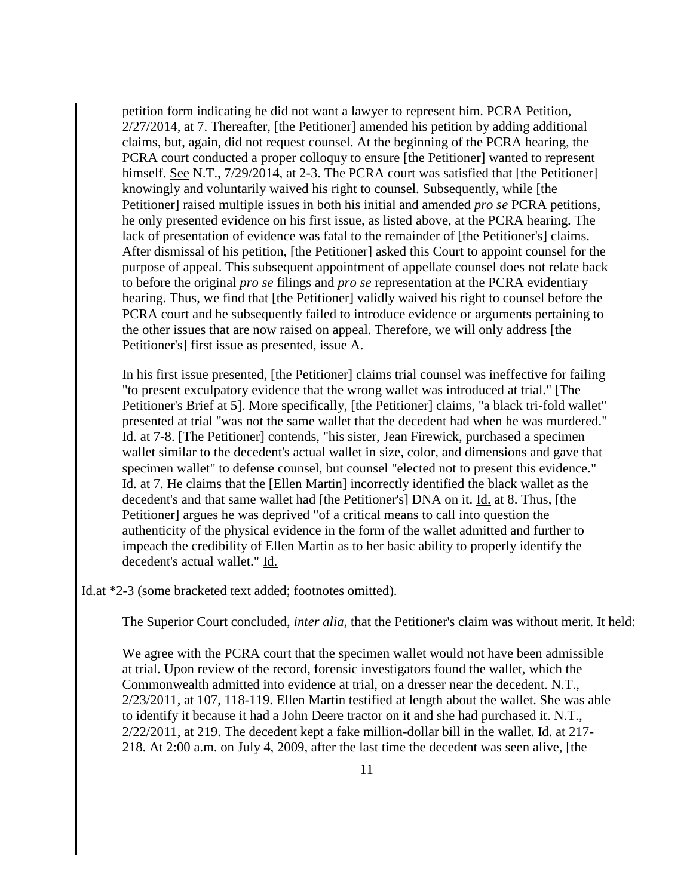petition form indicating he did not want a lawyer to represent him. PCRA Petition, 2/27/2014, at 7. Thereafter, [the Petitioner] amended his petition by adding additional claims, but, again, did not request counsel. At the beginning of the PCRA hearing, the PCRA court conducted a proper colloquy to ensure [the Petitioner] wanted to represent himself. See N.T., 7/29/2014, at 2-3. The PCRA court was satisfied that [the Petitioner] knowingly and voluntarily waived his right to counsel. Subsequently, while [the Petitioner] raised multiple issues in both his initial and amended *pro se* PCRA petitions, he only presented evidence on his first issue, as listed above, at the PCRA hearing. The lack of presentation of evidence was fatal to the remainder of [the Petitioner's] claims. After dismissal of his petition, [the Petitioner] asked this Court to appoint counsel for the purpose of appeal. This subsequent appointment of appellate counsel does not relate back to before the original *pro se* filings and *pro se* representation at the PCRA evidentiary hearing. Thus, we find that [the Petitioner] validly waived his right to counsel before the PCRA court and he subsequently failed to introduce evidence or arguments pertaining to the other issues that are now raised on appeal. Therefore, we will only address [the Petitioner's] first issue as presented, issue A.

In his first issue presented, [the Petitioner] claims trial counsel was ineffective for failing "to present exculpatory evidence that the wrong wallet was introduced at trial." [The Petitioner's Brief at 5]. More specifically, [the Petitioner] claims, "a black tri-fold wallet" presented at trial "was not the same wallet that the decedent had when he was murdered." Id. at 7-8. [The Petitioner] contends, "his sister, Jean Firewick, purchased a specimen wallet similar to the decedent's actual wallet in size, color, and dimensions and gave that specimen wallet" to defense counsel, but counsel "elected not to present this evidence." Id. at 7. He claims that the [Ellen Martin] incorrectly identified the black wallet as the decedent's and that same wallet had [the Petitioner's] DNA on it. Id. at 8. Thus, [the Petitioner] argues he was deprived "of a critical means to call into question the authenticity of the physical evidence in the form of the wallet admitted and further to impeach the credibility of Ellen Martin as to her basic ability to properly identify the decedent's actual wallet." Id.

Id.at \*2-3 (some bracketed text added; footnotes omitted).

The Superior Court concluded, *inter alia*, that the Petitioner's claim was without merit. It held:

We agree with the PCRA court that the specimen wallet would not have been admissible at trial. Upon review of the record, forensic investigators found the wallet, which the Commonwealth admitted into evidence at trial, on a dresser near the decedent. N.T., 2/23/2011, at 107, 118-119. Ellen Martin testified at length about the wallet. She was able to identify it because it had a John Deere tractor on it and she had purchased it. N.T., 2/22/2011, at 219. The decedent kept a fake million-dollar bill in the wallet. Id. at 217- 218. At 2:00 a.m. on July 4, 2009, after the last time the decedent was seen alive, [the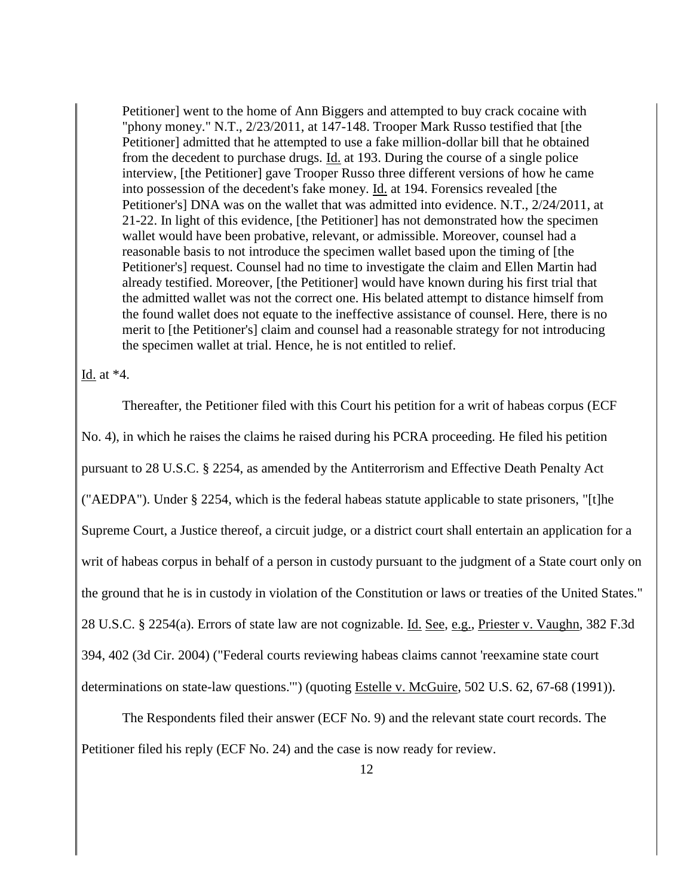Petitioner] went to the home of Ann Biggers and attempted to buy crack cocaine with "phony money." N.T., 2/23/2011, at 147-148. Trooper Mark Russo testified that [the Petitioner] admitted that he attempted to use a fake million-dollar bill that he obtained from the decedent to purchase drugs. Id. at 193. During the course of a single police interview, [the Petitioner] gave Trooper Russo three different versions of how he came into possession of the decedent's fake money. Id. at 194. Forensics revealed [the Petitioner's] DNA was on the wallet that was admitted into evidence. N.T., 2/24/2011, at 21-22. In light of this evidence, [the Petitioner] has not demonstrated how the specimen wallet would have been probative, relevant, or admissible. Moreover, counsel had a reasonable basis to not introduce the specimen wallet based upon the timing of [the Petitioner's] request. Counsel had no time to investigate the claim and Ellen Martin had already testified. Moreover, [the Petitioner] would have known during his first trial that the admitted wallet was not the correct one. His belated attempt to distance himself from the found wallet does not equate to the ineffective assistance of counsel. Here, there is no merit to [the Petitioner's] claim and counsel had a reasonable strategy for not introducing the specimen wallet at trial. Hence, he is not entitled to relief.

Id. at \*4.

Thereafter, the Petitioner filed with this Court his petition for a writ of habeas corpus (ECF No. 4), in which he raises the claims he raised during his PCRA proceeding. He filed his petition pursuant to 28 U.S.C. § 2254, as amended by the Antiterrorism and Effective Death Penalty Act ("AEDPA"). Under § 2254, which is the federal habeas statute applicable to state prisoners, "[t]he Supreme Court, a Justice thereof, a circuit judge, or a district court shall entertain an application for a writ of habeas corpus in behalf of a person in custody pursuant to the judgment of a State court only on the ground that he is in custody in violation of the Constitution or laws or treaties of the United States." 28 U.S.C. § 2254(a). Errors of state law are not cognizable. Id. See, e.g., Priester v. Vaughn, 382 F.3d 394, 402 (3d Cir. 2004) ("Federal courts reviewing habeas claims cannot 'reexamine state court determinations on state-law questions."') (quoting *Estelle v. McGuire*, 502 U.S. 62, 67-68 (1991)).

The Respondents filed their answer (ECF No. 9) and the relevant state court records. The Petitioner filed his reply (ECF No. 24) and the case is now ready for review.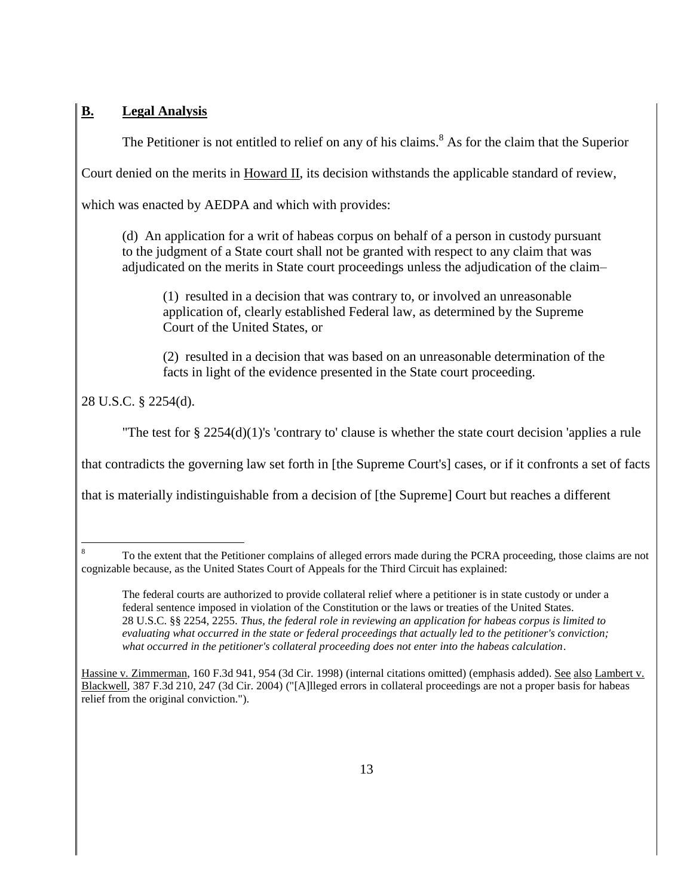## **B. Legal Analysis**

The Petitioner is not entitled to relief on any of his claims.<sup>8</sup> As for the claim that the Superior

Court denied on the merits in Howard II, its decision withstands the applicable standard of review,

which was enacted by AEDPA and which with provides:

(d) An application for a writ of habeas corpus on behalf of a person in custody pursuant to the judgment of a State court shall not be granted with respect to any claim that was adjudicated on the merits in State court proceedings unless the adjudication of the claim–

(1) resulted in a decision that was contrary to, or involved an unreasonable application of, clearly established Federal law, as determined by the Supreme Court of the United States, or

(2) resulted in a decision that was based on an unreasonable determination of the facts in light of the evidence presented in the State court proceeding.

28 U.S.C. § 2254(d).

"The test for § 2254(d)(1)'s 'contrary to' clause is whether the state court decision 'applies a rule

that contradicts the governing law set forth in [the Supreme Court's] cases, or if it confronts a set of facts

that is materially indistinguishable from a decision of [the Supreme] Court but reaches a different

 $\overline{a}$ To the extent that the Petitioner complains of alleged errors made during the PCRA proceeding, those claims are not cognizable because, as the United States Court of Appeals for the Third Circuit has explained:

The federal courts are authorized to provide collateral relief where a petitioner is in state custody or under a federal sentence imposed in violation of the Constitution or the laws or treaties of the United States. 28 U.S.C. §§ 2254, 2255. *Thus, the federal role in reviewing an application for habeas corpus is limited to evaluating what occurred in the state or federal proceedings that actually led to the petitioner's conviction; what occurred in the petitioner's collateral proceeding does not enter into the habeas calculation*.

Hassine v. Zimmerman, 160 F.3d 941, 954 (3d Cir. 1998) (internal citations omitted) (emphasis added). See also Lambert v. Blackwell, 387 F.3d 210, 247 (3d Cir. 2004) ("[A]lleged errors in collateral proceedings are not a proper basis for habeas relief from the original conviction.").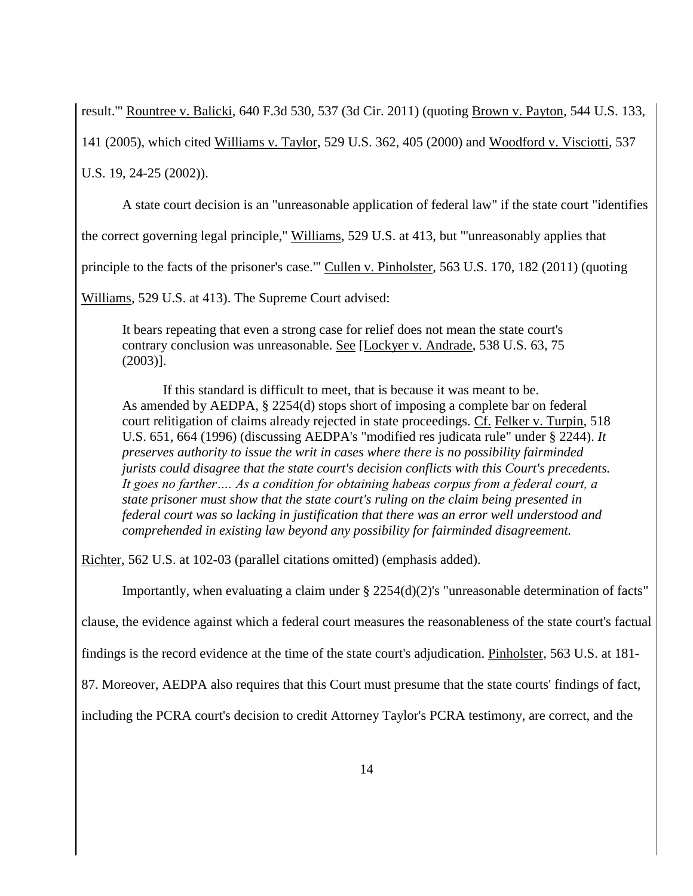result.'" Rountree v. Balicki, 640 F.3d 530, 537 (3d Cir. 2011) (quoting Brown v. Payton, 544 U.S. 133,

141 (2005), which cited Williams v. Taylor, 529 U.S. 362, 405 (2000) and Woodford v. Visciotti, 537

U.S. 19, 24-25 (2002)).

A state court decision is an "unreasonable application of federal law" if the state court "identifies

the correct governing legal principle," Williams, 529 U.S. at 413, but "'unreasonably applies that

principle to the facts of the prisoner's case."" Cullen v. Pinholster, 563 U.S. 170, 182 (2011) (quoting

Williams, 529 U.S. at 413). The Supreme Court advised:

It bears repeating that even a strong case for relief does not mean the state court's contrary conclusion was unreasonable. See [Lockyer v. Andrade, 538 U.S. 63, 75 (2003)].

If this standard is difficult to meet, that is because it was meant to be. As amended by AEDPA, § 2254(d) stops short of imposing a complete bar on federal court relitigation of claims already rejected in state proceedings. Cf. Felker v. Turpin, 518 U.S. 651, 664 (1996) (discussing AEDPA's "modified res judicata rule" under § 2244). *It preserves authority to issue the writ in cases where there is no possibility fairminded jurists could disagree that the state court's decision conflicts with this Court's precedents. It goes no farther…. As a condition for obtaining habeas corpus from a federal court, a state prisoner must show that the state court's ruling on the claim being presented in federal court was so lacking in justification that there was an error well understood and comprehended in existing law beyond any possibility for fairminded disagreement.*

Richter, 562 U.S. at 102-03 (parallel citations omitted) (emphasis added).

Importantly, when evaluating a claim under § 2254(d)(2)'s "unreasonable determination of facts"

clause, the evidence against which a federal court measures the reasonableness of the state court's factual

findings is the record evidence at the time of the state court's adjudication. Pinholster, 563 U.S. at 181-

87. Moreover, AEDPA also requires that this Court must presume that the state courts' findings of fact,

including the PCRA court's decision to credit Attorney Taylor's PCRA testimony, are correct, and the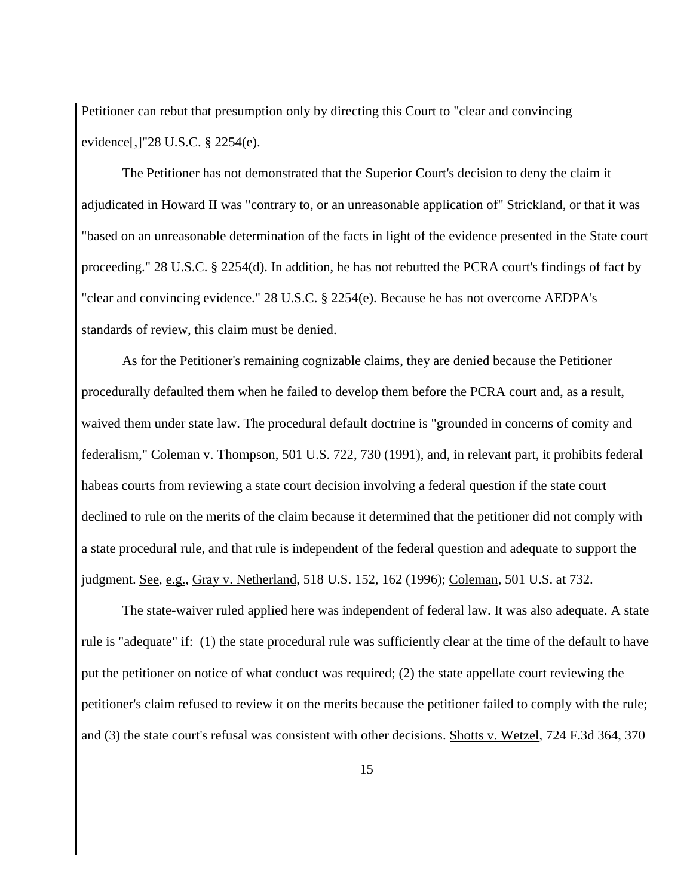Petitioner can rebut that presumption only by directing this Court to "clear and convincing evidence[,]"28 U.S.C. § 2254(e).

The Petitioner has not demonstrated that the Superior Court's decision to deny the claim it adjudicated in Howard II was "contrary to, or an unreasonable application of" Strickland, or that it was "based on an unreasonable determination of the facts in light of the evidence presented in the State court proceeding." 28 U.S.C. § 2254(d). In addition, he has not rebutted the PCRA court's findings of fact by "clear and convincing evidence." 28 U.S.C. § 2254(e). Because he has not overcome AEDPA's standards of review, this claim must be denied.

As for the Petitioner's remaining cognizable claims, they are denied because the Petitioner procedurally defaulted them when he failed to develop them before the PCRA court and, as a result, waived them under state law. The procedural default doctrine is "grounded in concerns of comity and federalism," Coleman v. Thompson, 501 U.S. 722, 730 (1991), and, in relevant part, it prohibits federal habeas courts from reviewing a state court decision involving a federal question if the state court declined to rule on the merits of the claim because it determined that the petitioner did not comply with a state procedural rule, and that rule is independent of the federal question and adequate to support the judgment. See, e.g., Gray v. Netherland, 518 U.S. 152, 162 (1996); Coleman, 501 U.S. at 732.

The state-waiver ruled applied here was independent of federal law. It was also adequate. A state rule is "adequate" if: (1) the state procedural rule was sufficiently clear at the time of the default to have put the petitioner on notice of what conduct was required; (2) the state appellate court reviewing the petitioner's claim refused to review it on the merits because the petitioner failed to comply with the rule; and (3) the state court's refusal was consistent with other decisions. Shotts v. Wetzel, 724 F.3d 364, 370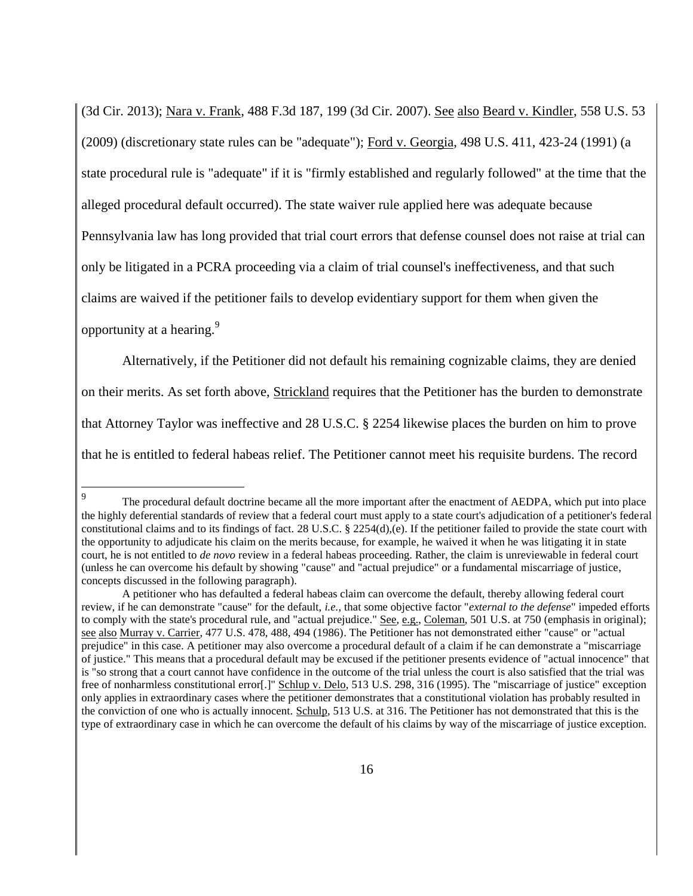(3d Cir. 2013); Nara v. Frank, 488 F.3d 187, 199 (3d Cir. 2007). See also Beard v. Kindler, 558 U.S. 53 (2009) (discretionary state rules can be "adequate"); Ford v. Georgia, 498 U.S. 411, 423-24 (1991) (a state procedural rule is "adequate" if it is "firmly established and regularly followed" at the time that the alleged procedural default occurred). The state waiver rule applied here was adequate because Pennsylvania law has long provided that trial court errors that defense counsel does not raise at trial can only be litigated in a PCRA proceeding via a claim of trial counsel's ineffectiveness, and that such claims are waived if the petitioner fails to develop evidentiary support for them when given the opportunity at a hearing.<sup>9</sup>

Alternatively, if the Petitioner did not default his remaining cognizable claims, they are denied on their merits. As set forth above, Strickland requires that the Petitioner has the burden to demonstrate that Attorney Taylor was ineffective and 28 U.S.C. § 2254 likewise places the burden on him to prove that he is entitled to federal habeas relief. The Petitioner cannot meet his requisite burdens. The record

<sup>-&</sup>lt;br>9 The procedural default doctrine became all the more important after the enactment of AEDPA, which put into place the highly deferential standards of review that a federal court must apply to a state court's adjudication of a petitioner's federal constitutional claims and to its findings of fact. 28 U.S.C. § 2254(d),(e). If the petitioner failed to provide the state court with the opportunity to adjudicate his claim on the merits because, for example, he waived it when he was litigating it in state court, he is not entitled to *de novo* review in a federal habeas proceeding. Rather, the claim is unreviewable in federal court (unless he can overcome his default by showing "cause" and "actual prejudice" or a fundamental miscarriage of justice, concepts discussed in the following paragraph).

A petitioner who has defaulted a federal habeas claim can overcome the default, thereby allowing federal court review, if he can demonstrate "cause" for the default, *i.e.*, that some objective factor "*external to the defense*" impeded efforts to comply with the state's procedural rule, and "actual prejudice." See, e.g., Coleman, 501 U.S. at 750 (emphasis in original); see also Murray v. Carrier, 477 U.S. 478, 488, 494 (1986). The Petitioner has not demonstrated either "cause" or "actual prejudice" in this case. A petitioner may also overcome a procedural default of a claim if he can demonstrate a "miscarriage of justice." This means that a procedural default may be excused if the petitioner presents evidence of "actual innocence" that is "so strong that a court cannot have confidence in the outcome of the trial unless the court is also satisfied that the trial was free of nonharmless constitutional error[.]" Schlup v. Delo, 513 U.S. 298, 316 (1995). The "miscarriage of justice" exception only applies in extraordinary cases where the petitioner demonstrates that a constitutional violation has probably resulted in the conviction of one who is actually innocent. Schulp, 513 U.S. at 316. The Petitioner has not demonstrated that this is the type of extraordinary case in which he can overcome the default of his claims by way of the miscarriage of justice exception.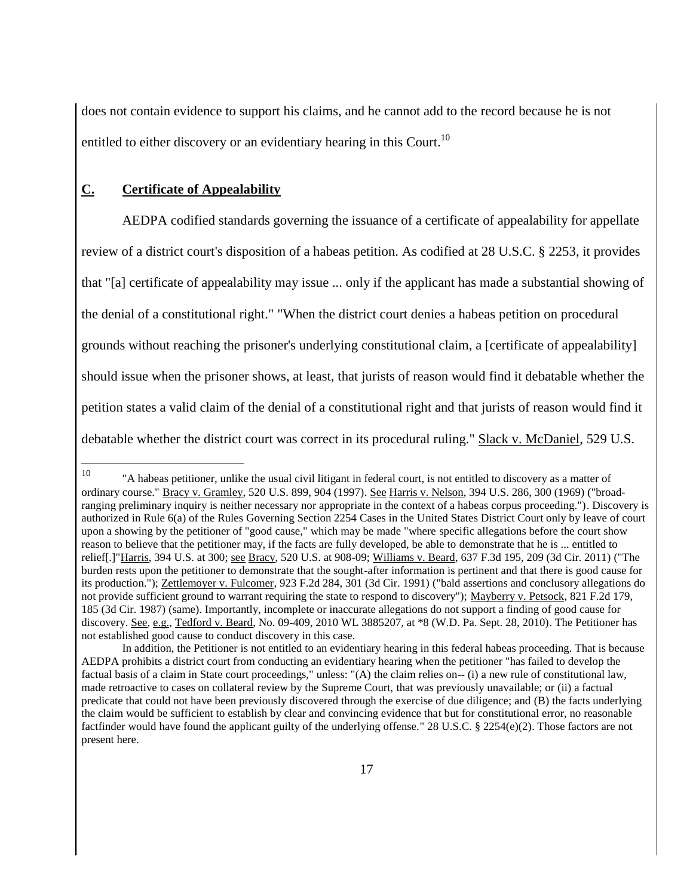does not contain evidence to support his claims, and he cannot add to the record because he is not entitled to either discovery or an evidentiary hearing in this Court.<sup>10</sup>

#### **C. Certificate of Appealability**

AEDPA codified standards governing the issuance of a certificate of appealability for appellate review of a district court's disposition of a habeas petition. As codified at 28 U.S.C. § 2253, it provides that "[a] certificate of appealability may issue ... only if the applicant has made a substantial showing of the denial of a constitutional right." "When the district court denies a habeas petition on procedural grounds without reaching the prisoner's underlying constitutional claim, a [certificate of appealability] should issue when the prisoner shows, at least, that jurists of reason would find it debatable whether the petition states a valid claim of the denial of a constitutional right and that jurists of reason would find it debatable whether the district court was correct in its procedural ruling." Slack v. McDaniel, 529 U.S.

<sup>10</sup> <sup>10</sup> "A habeas petitioner, unlike the usual civil litigant in federal court, is not entitled to discovery as a matter of ordinary course." Bracy v. Gramley, 520 U.S. 899, 904 (1997). See Harris v. Nelson, 394 U.S. 286, 300 (1969) ("broadranging preliminary inquiry is neither necessary nor appropriate in the context of a habeas corpus proceeding."). Discovery is authorized in Rule 6(a) of the Rules Governing Section 2254 Cases in the United States District Court only by leave of court upon a showing by the petitioner of "good cause," which may be made "where specific allegations before the court show reason to believe that the petitioner may, if the facts are fully developed, be able to demonstrate that he is ... entitled to relief[.]"Harris, 394 U.S. at 300; see Bracy, 520 U.S. at 908-09; Williams v. Beard, 637 F.3d 195, 209 (3d Cir. 2011) ("The burden rests upon the petitioner to demonstrate that the sought-after information is pertinent and that there is good cause for its production."); Zettlemoyer v. Fulcomer, 923 F.2d 284, 301 (3d Cir. 1991) ("bald assertions and conclusory allegations do not provide sufficient ground to warrant requiring the state to respond to discovery"); Mayberry v. Petsock, 821 F.2d 179, 185 (3d Cir. 1987) (same). Importantly, incomplete or inaccurate allegations do not support a finding of good cause for discovery. See, e.g., Tedford v. Beard, No. 09-409, 2010 WL 3885207, at \*8 (W.D. Pa. Sept. 28, 2010). The Petitioner has not established good cause to conduct discovery in this case.

In addition, the Petitioner is not entitled to an evidentiary hearing in this federal habeas proceeding. That is because AEDPA prohibits a district court from conducting an evidentiary hearing when the petitioner "has failed to develop the factual basis of a claim in State court proceedings," unless: "(A) the claim relies on-- (i) a new rule of constitutional law, made retroactive to cases on collateral review by the Supreme Court, that was previously unavailable; or (ii) a factual predicate that could not have been previously discovered through the exercise of due diligence; and (B) the facts underlying the claim would be sufficient to establish by clear and convincing evidence that but for constitutional error, no reasonable factfinder would have found the applicant guilty of the underlying offense." 28 U.S.C. § 2254(e)(2). Those factors are not present here.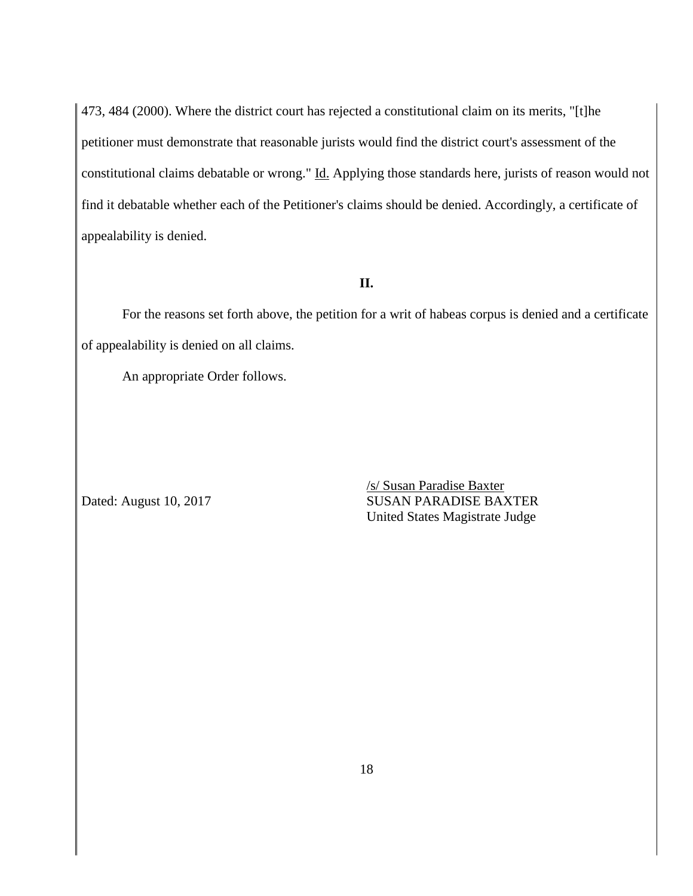473, 484 (2000). Where the district court has rejected a constitutional claim on its merits, "[t]he petitioner must demonstrate that reasonable jurists would find the district court's assessment of the constitutional claims debatable or wrong." Id. Applying those standards here, jurists of reason would not find it debatable whether each of the Petitioner's claims should be denied. Accordingly, a certificate of appealability is denied.

#### **II.**

For the reasons set forth above, the petition for a writ of habeas corpus is denied and a certificate of appealability is denied on all claims.

An appropriate Order follows.

/s/ Susan Paradise Baxter Dated: August 10, 2017 SUSAN PARADISE BAXTER United States Magistrate Judge